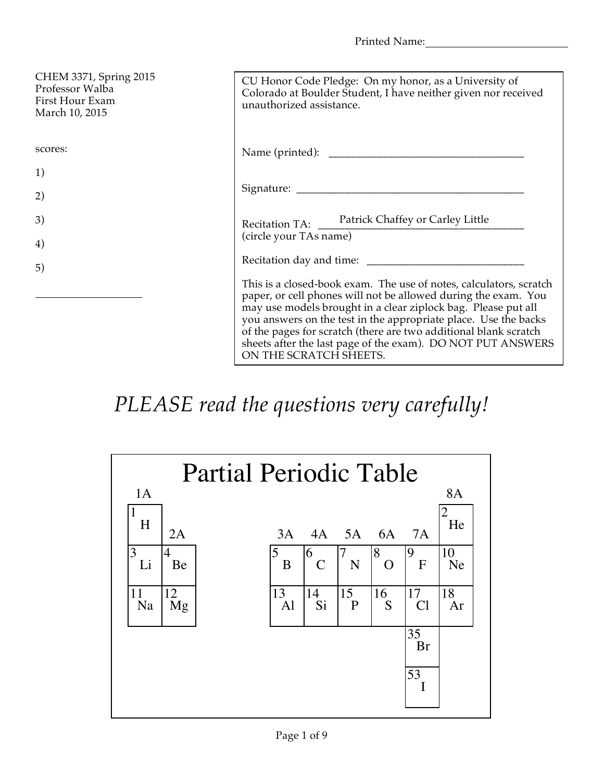Printed Name:

| CHEM 3371, Spring 2015<br>Professor Walba<br>First Hour Exam<br>March 10, 2015 | CU Honor Code Pledge: On my honor, as a University of<br>Colorado at Boulder Student, I have neither given nor received<br>unauthorized assistance.                                                                                                                                                                                                                                                                                   |
|--------------------------------------------------------------------------------|---------------------------------------------------------------------------------------------------------------------------------------------------------------------------------------------------------------------------------------------------------------------------------------------------------------------------------------------------------------------------------------------------------------------------------------|
| scores:                                                                        |                                                                                                                                                                                                                                                                                                                                                                                                                                       |
| 1)                                                                             |                                                                                                                                                                                                                                                                                                                                                                                                                                       |
| 2)                                                                             |                                                                                                                                                                                                                                                                                                                                                                                                                                       |
| 3)                                                                             | Recitation TA: Patrick Chaffey or Carley Little                                                                                                                                                                                                                                                                                                                                                                                       |
| 4)                                                                             | (circle your TAs name)                                                                                                                                                                                                                                                                                                                                                                                                                |
| 5)                                                                             |                                                                                                                                                                                                                                                                                                                                                                                                                                       |
|                                                                                | This is a closed-book exam. The use of notes, calculators, scratch<br>paper, or cell phones will not be allowed during the exam. You<br>may use models brought in a clear ziplock bag. Please put all<br>you answers on the test in the appropriate place. Use the backs<br>of the pages for scratch (there are two additional blank scratch<br>sheets after the last page of the exam). DO NOT PUT ANSWERS<br>ON THE SCRATCH SHEETS. |

## *PLEASE read the questions very carefully!*

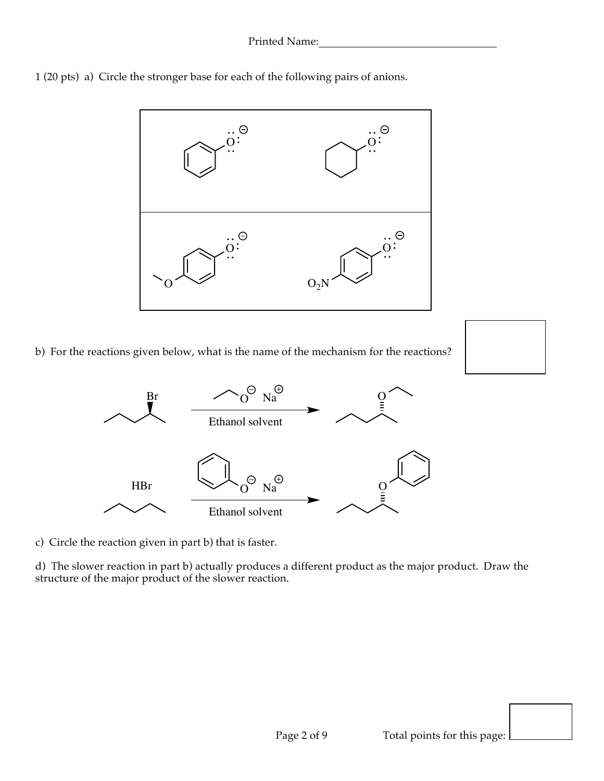



b) For the reactions given below, what is the name of the mechanism for the reactions?





c) Circle the reaction given in part b) that is faster.

d) The slower reaction in part b) actually produces a different product as the major product. Draw the structure of the major product of the slower reaction.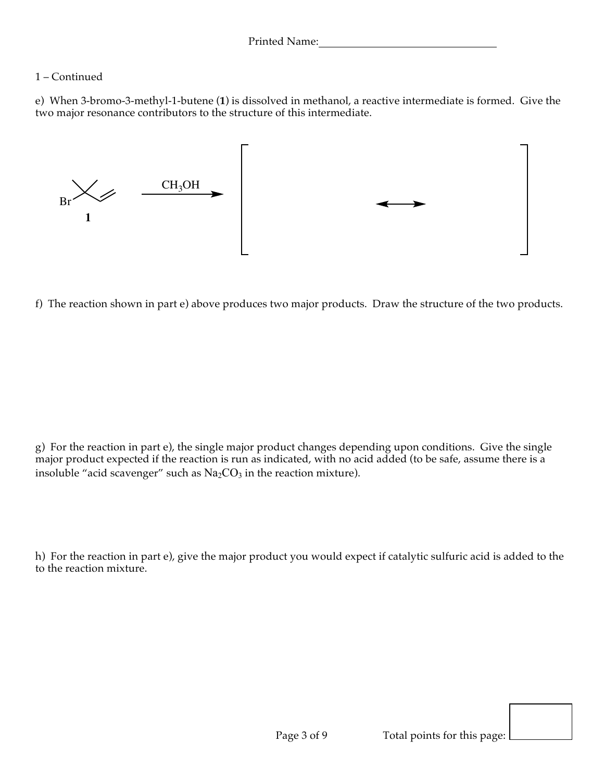## 1 – Continued

e) When 3-bromo-3-methyl-1-butene (**1**) is dissolved in methanol, a reactive intermediate is formed. Give the two major resonance contributors to the structure of this intermediate.



f) The reaction shown in part e) above produces two major products. Draw the structure of the two products.

g) For the reaction in part e), the single major product changes depending upon conditions. Give the single major product expected if the reaction is run as indicated, with no acid added (to be safe, assume there is a insoluble "acid scavenger" such as  $Na<sub>2</sub>CO<sub>3</sub>$  in the reaction mixture).

h) For the reaction in part e), give the major product you would expect if catalytic sulfuric acid is added to the to the reaction mixture.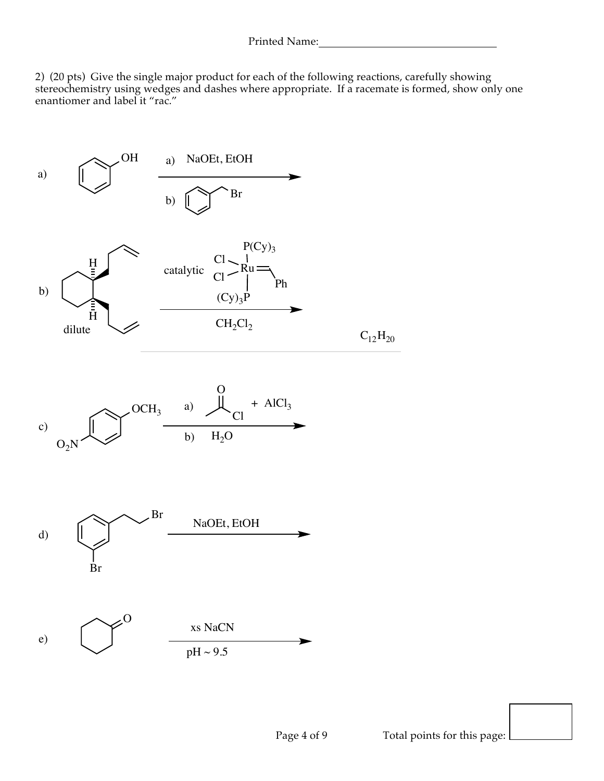2) (20 pts) Give the single major product for each of the following reactions, carefully showing stereochemistry using wedges and dashes where appropriate. If a racemate is formed, show only one enantiomer and label it "rac."

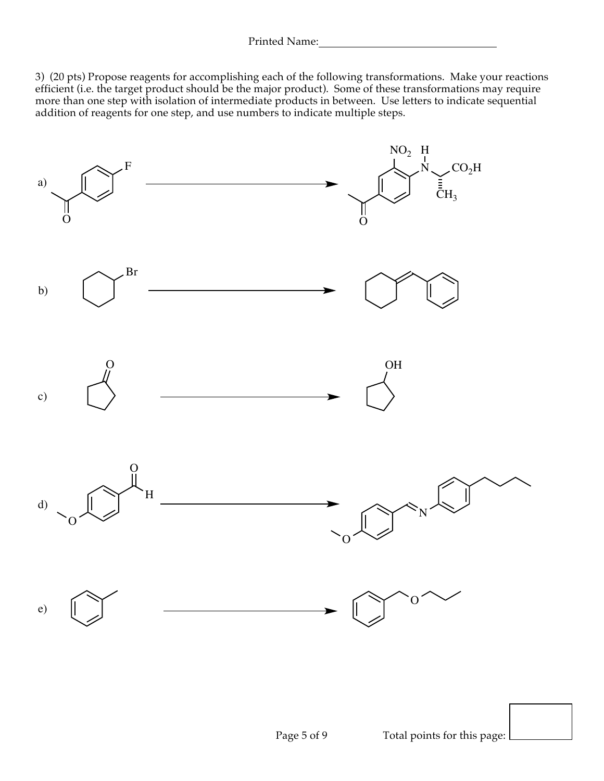3) (20 pts) Propose reagents for accomplishing each of the following transformations. Make your reactions efficient (i.e. the target product should be the major product). Some of these transformations may require more than one step with isolation of intermediate products in between. Use letters to indicate sequential addition of reagents for one step, and use numbers to indicate multiple steps.

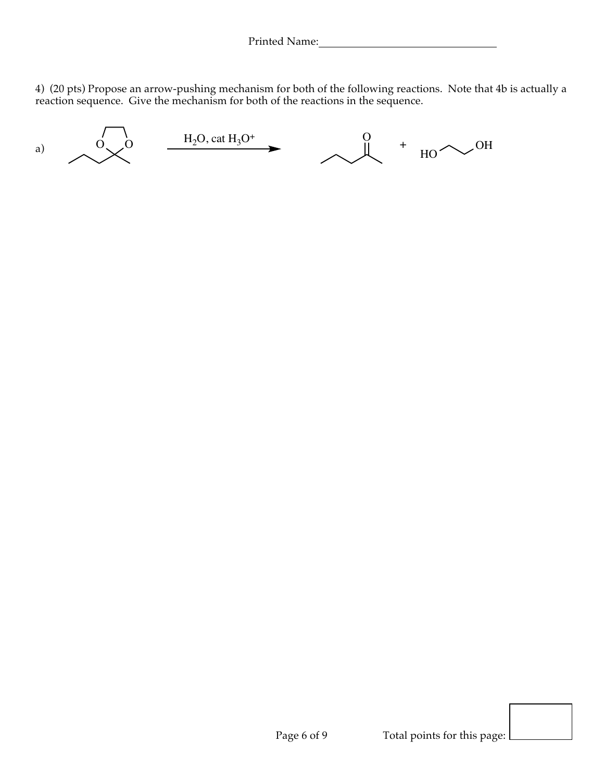4) (20 pts) Propose an arrow-pushing mechanism for both of the following reactions. Note that 4b is actually a reaction sequence. Give the mechanism for both of the reactions in the sequence.

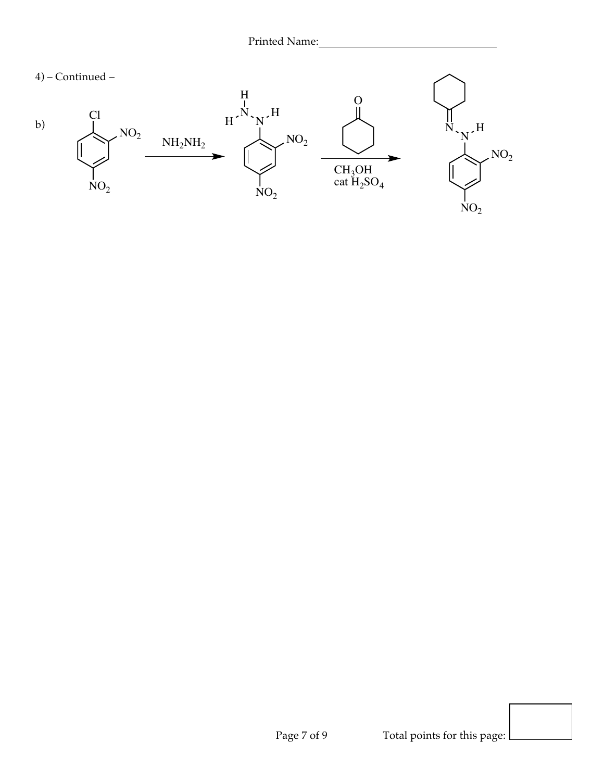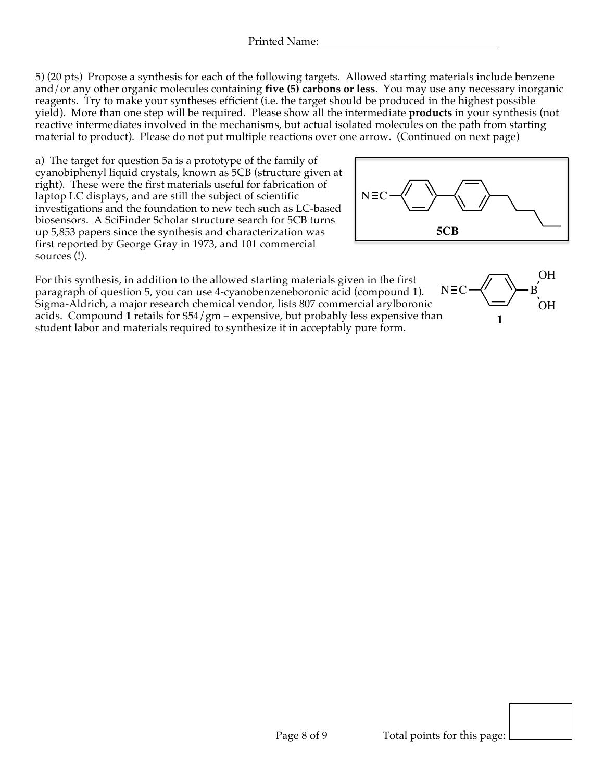5) (20 pts) Propose a synthesis for each of the following targets. Allowed starting materials include benzene and/or any other organic molecules containing **five (5) carbons or less**. You may use any necessary inorganic reagents. Try to make your syntheses efficient (i.e. the target should be produced in the highest possible yield). More than one step will be required. Please show all the intermediate **products** in your synthesis (not reactive intermediates involved in the mechanisms, but actual isolated molecules on the path from starting material to product). Please do not put multiple reactions over one arrow. (Continued on next page)

a) The target for question 5a is a prototype of the family of cyanobiphenyl liquid crystals, known as 5CB (structure given at right). These were the first materials useful for fabrication of laptop LC displays, and are still the subject of scientific investigations and the foundation to new tech such as LC-based biosensors. A SciFinder Scholar structure search for 5CB turns up 5,853 papers since the synthesis and characterization was first reported by George Gray in 1973, and 101 commercial sources (!).



.<br>OH

**1**

OH

For this synthesis, in addition to the allowed starting materials given in the first paragraph of question 5, you can use 4-cyanobenzeneboronic acid (compound **1**). Sigma-Aldrich, a major research chemical vendor, lists 807 commercial arylboronic acids. Compound **1** retails for \$54/gm – expensive, but probably less expensive than student labor and materials required to synthesize it in acceptably pure form.  $N \equiv C \rightarrow V \rightarrow B$